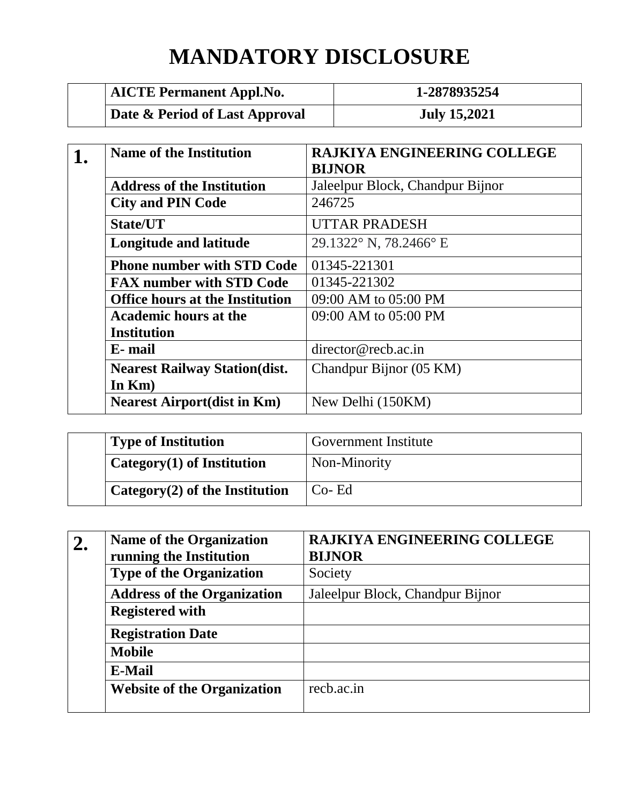## **MANDATORY DISCLOSURE**

| <b>AICTE Permanent Appl.No.</b> | 1-2878935254        |
|---------------------------------|---------------------|
| Date & Period of Last Approval  | <b>July 15,2021</b> |

| <b>Name of the Institution</b>         | <b>RAJKIYA ENGINEERING COLLEGE</b><br><b>BIJNOR</b> |
|----------------------------------------|-----------------------------------------------------|
| <b>Address of the Institution</b>      | Jaleelpur Block, Chandpur Bijnor                    |
| <b>City and PIN Code</b>               | 246725                                              |
| State/UT                               | <b>UTTAR PRADESH</b>                                |
| Longitude and latitude                 | 29.1322° N, 78.2466° E                              |
| <b>Phone number with STD Code</b>      | 01345-221301                                        |
| <b>FAX number with STD Code</b>        | 01345-221302                                        |
| <b>Office hours at the Institution</b> | 09:00 AM to 05:00 PM                                |
| <b>Academic hours at the</b>           | 09:00 AM to 05:00 PM                                |
| <b>Institution</b>                     |                                                     |
| E-mail                                 | director@recb.ac.in                                 |
| <b>Nearest Railway Station(dist.</b>   | Chandpur Bijnor (05 KM)                             |
| In $Km$ )                              |                                                     |
| <b>Nearest Airport(dist in Km)</b>     | New Delhi (150KM)                                   |

| <b>Type of Institution</b>                  | <b>Government Institute</b> |
|---------------------------------------------|-----------------------------|
| Category $(1)$ of Institution               | Non-Minority                |
| <sup>1</sup> Category(2) of the Institution | $Co-Ed$                     |

| 2. | <b>Name of the Organization</b>    | <b>RAJKIYA ENGINEERING COLLEGE</b> |
|----|------------------------------------|------------------------------------|
|    | running the Institution            | <b>BIJNOR</b>                      |
|    | <b>Type of the Organization</b>    | Society                            |
|    | <b>Address of the Organization</b> | Jaleelpur Block, Chandpur Bijnor   |
|    | <b>Registered with</b>             |                                    |
|    | <b>Registration Date</b>           |                                    |
|    | <b>Mobile</b>                      |                                    |
|    | <b>E-Mail</b>                      |                                    |
|    | <b>Website of the Organization</b> | rech.ac.in                         |
|    |                                    |                                    |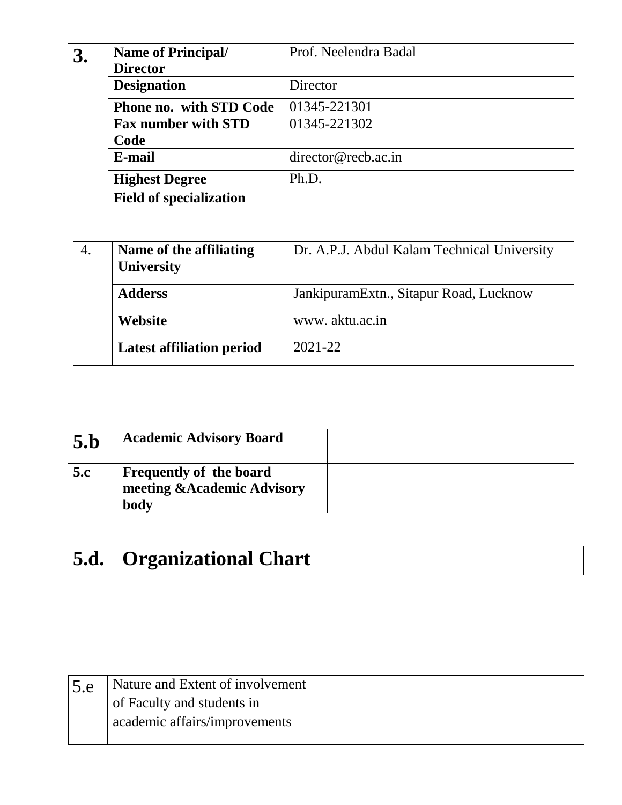| 3. | <b>Name of Principal/</b><br><b>Director</b> | Prof. Neelendra Badal |
|----|----------------------------------------------|-----------------------|
|    | <b>Designation</b>                           | Director              |
|    | <b>Phone no. with STD Code</b>               | 01345-221301          |
|    | <b>Fax number with STD</b>                   | 01345-221302          |
|    | Code                                         |                       |
|    | E-mail                                       | director@recb.ac.in   |
|    | <b>Highest Degree</b>                        | Ph.D.                 |
|    | <b>Field of specialization</b>               |                       |

| 4. | Name of the affiliating<br><b>University</b> | Dr. A.P.J. Abdul Kalam Technical University |
|----|----------------------------------------------|---------------------------------------------|
|    | <b>Adderss</b>                               | JankipuramExtn., Sitapur Road, Lucknow      |
|    | <b>Website</b>                               | www.aktu.ac.in                              |
|    | <b>Latest affiliation period</b>             | $2021 - 22$                                 |

| 5.b | <b>Academic Advisory Board</b>                                        |  |
|-----|-----------------------------------------------------------------------|--|
| 5.c | <b>Frequently of the board</b><br>meeting & Academic Advisory<br>body |  |

# **5.d. Organizational Chart**

| 5.e | Nature and Extent of involvement |  |
|-----|----------------------------------|--|
|     | of Faculty and students in       |  |
|     | academic affairs/improvements    |  |
|     |                                  |  |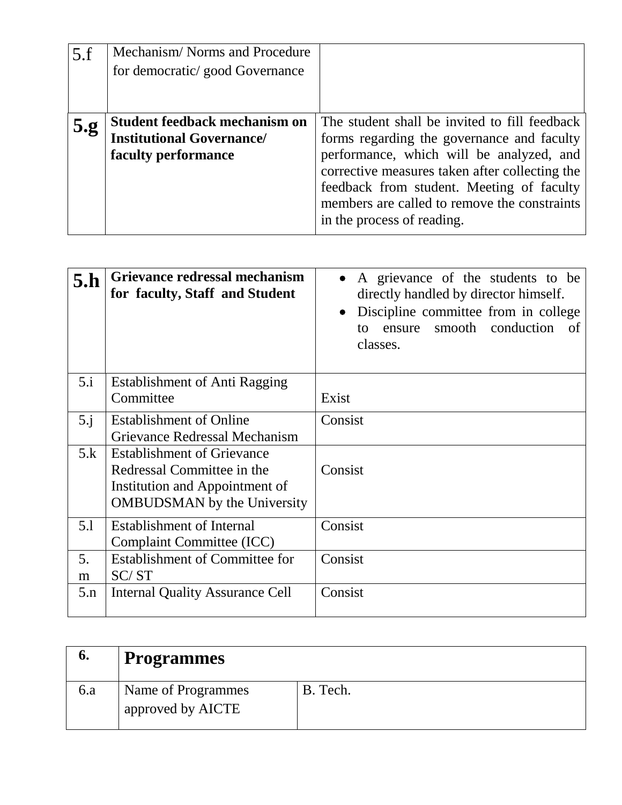| 5.f | Mechanism/Norms and Procedure<br>for democratic/good Governance                                 |                                                                                                                                                                                                                                                                                                                      |
|-----|-------------------------------------------------------------------------------------------------|----------------------------------------------------------------------------------------------------------------------------------------------------------------------------------------------------------------------------------------------------------------------------------------------------------------------|
| 5.g | <b>Student feedback mechanism on</b><br><b>Institutional Governance/</b><br>faculty performance | The student shall be invited to fill feedback<br>forms regarding the governance and faculty<br>performance, which will be analyzed, and<br>corrective measures taken after collecting the<br>feedback from student. Meeting of faculty<br>members are called to remove the constraints<br>in the process of reading. |

| 5.h         | Grievance redressal mechanism<br>for faculty, Staff and Student | A grievance of the students to be<br>directly handled by director himself.<br>Discipline committee from in college<br>$\bullet$<br>smooth conduction<br>of<br>ensure<br>tΩ<br>classes. |
|-------------|-----------------------------------------------------------------|----------------------------------------------------------------------------------------------------------------------------------------------------------------------------------------|
| 5.i         | <b>Establishment of Anti Ragging</b>                            |                                                                                                                                                                                        |
|             | Committee                                                       | Exist                                                                                                                                                                                  |
| $5 \cdot i$ | <b>Establishment of Online</b>                                  | Consist                                                                                                                                                                                |
|             | Grievance Redressal Mechanism                                   |                                                                                                                                                                                        |
| 5.k         | <b>Establishment of Grievance</b>                               |                                                                                                                                                                                        |
|             | Redressal Committee in the                                      | Consist                                                                                                                                                                                |
|             | Institution and Appointment of                                  |                                                                                                                                                                                        |
|             | <b>OMBUDSMAN</b> by the University                              |                                                                                                                                                                                        |
| 5.1         | <b>Establishment of Internal</b>                                | Consist                                                                                                                                                                                |
|             | Complaint Committee (ICC)                                       |                                                                                                                                                                                        |
| 5.          | <b>Establishment of Committee for</b>                           | Consist                                                                                                                                                                                |
| m           | SC/ST                                                           |                                                                                                                                                                                        |
| 5.n         | <b>Internal Quality Assurance Cell</b>                          | Consist                                                                                                                                                                                |

| o.  | $\vert$ Programmes                      |          |
|-----|-----------------------------------------|----------|
| 6.a | Name of Programmes<br>approved by AICTE | B. Tech. |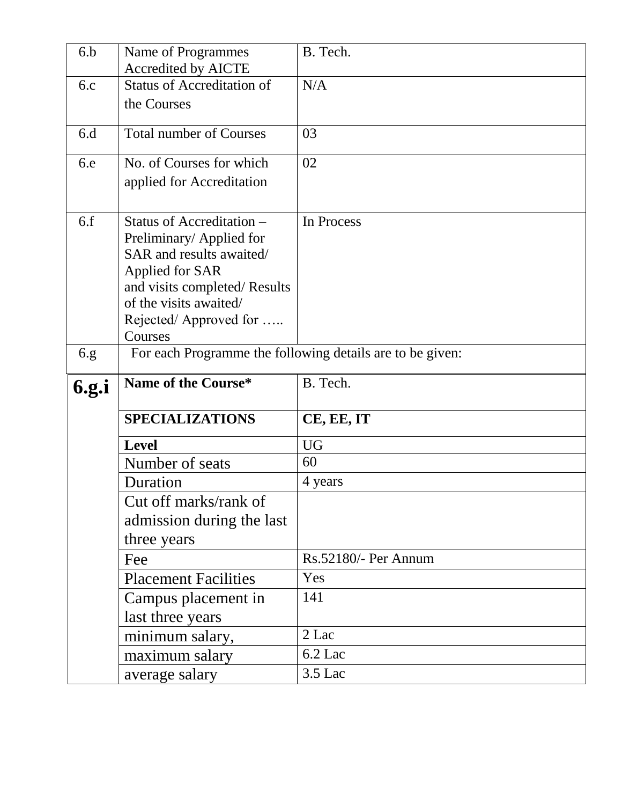| 6.b          | Name of Programmes                                              | B. Tech.             |
|--------------|-----------------------------------------------------------------|----------------------|
| 6.c          | <b>Accredited by AICTE</b><br><b>Status of Accreditation of</b> | N/A                  |
|              | the Courses                                                     |                      |
|              |                                                                 |                      |
| 6.d          | <b>Total number of Courses</b>                                  | 03                   |
| 6.e          | No. of Courses for which                                        | 02                   |
|              | applied for Accreditation                                       |                      |
|              |                                                                 |                      |
| 6.f          | Status of Accreditation –                                       | In Process           |
|              | Preliminary/Applied for                                         |                      |
|              | SAR and results awaited/                                        |                      |
|              | Applied for SAR<br>and visits completed/Results                 |                      |
|              | of the visits awaited/                                          |                      |
|              | Rejected/Approved for                                           |                      |
|              | Courses                                                         |                      |
| 6.g.         | For each Programme the following details are to be given:       |                      |
|              |                                                                 |                      |
| <b>6.g.i</b> | Name of the Course*                                             | B. Tech.             |
|              | <b>SPECIALIZATIONS</b>                                          | CE, EE, IT           |
|              | <b>Level</b>                                                    | <b>UG</b>            |
|              | Number of seats                                                 | 60                   |
|              | Duration                                                        | 4 years              |
|              | Cut off marks/rank of                                           |                      |
|              | admission during the last                                       |                      |
|              | three years                                                     |                      |
|              | Fee                                                             | Rs.52180/- Per Annum |
|              | <b>Placement Facilities</b>                                     | Yes                  |
|              | Campus placement in                                             | 141                  |
|              | last three years                                                |                      |
|              | minimum salary,                                                 | 2 Lac                |
|              | maximum salary                                                  | 6.2 Lac<br>3.5 Lac   |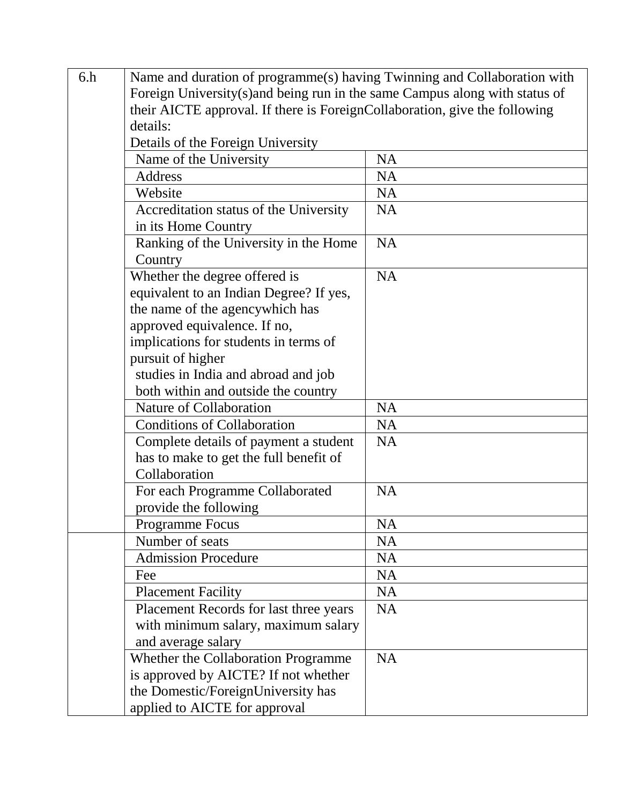| 6.h | Name and duration of programme(s) having Twinning and Collaboration with    |           |  |
|-----|-----------------------------------------------------------------------------|-----------|--|
|     | Foreign University(s) and being run in the same Campus along with status of |           |  |
|     | their AICTE approval. If there is ForeignCollaboration, give the following  |           |  |
|     | details:                                                                    |           |  |
|     | Details of the Foreign University                                           |           |  |
|     | Name of the University                                                      | <b>NA</b> |  |
|     | Address                                                                     | <b>NA</b> |  |
|     | Website                                                                     | <b>NA</b> |  |
|     | Accreditation status of the University                                      | <b>NA</b> |  |
|     | in its Home Country                                                         |           |  |
|     | Ranking of the University in the Home                                       | <b>NA</b> |  |
|     | Country                                                                     |           |  |
|     | Whether the degree offered is                                               | <b>NA</b> |  |
|     | equivalent to an Indian Degree? If yes,                                     |           |  |
|     | the name of the agencywhich has                                             |           |  |
|     | approved equivalence. If no,                                                |           |  |
|     | implications for students in terms of                                       |           |  |
|     | pursuit of higher                                                           |           |  |
|     | studies in India and abroad and job                                         |           |  |
|     | both within and outside the country                                         |           |  |
|     | Nature of Collaboration                                                     | <b>NA</b> |  |
|     | <b>Conditions of Collaboration</b>                                          | <b>NA</b> |  |
|     | Complete details of payment a student                                       | <b>NA</b> |  |
|     | has to make to get the full benefit of                                      |           |  |
|     | Collaboration                                                               |           |  |
|     | For each Programme Collaborated                                             | <b>NA</b> |  |
|     | provide the following                                                       |           |  |
|     | Programme Focus                                                             | <b>NA</b> |  |
|     | Number of seats                                                             | <b>NA</b> |  |
|     | <b>Admission Procedure</b>                                                  | <b>NA</b> |  |
|     | Fee                                                                         | <b>NA</b> |  |
|     | <b>Placement Facility</b>                                                   | <b>NA</b> |  |
|     | Placement Records for last three years                                      | <b>NA</b> |  |
|     | with minimum salary, maximum salary                                         |           |  |
|     | and average salary                                                          |           |  |
|     | Whether the Collaboration Programme                                         | <b>NA</b> |  |
|     | is approved by AICTE? If not whether                                        |           |  |
|     | the Domestic/ForeignUniversity has                                          |           |  |
|     | applied to AICTE for approval                                               |           |  |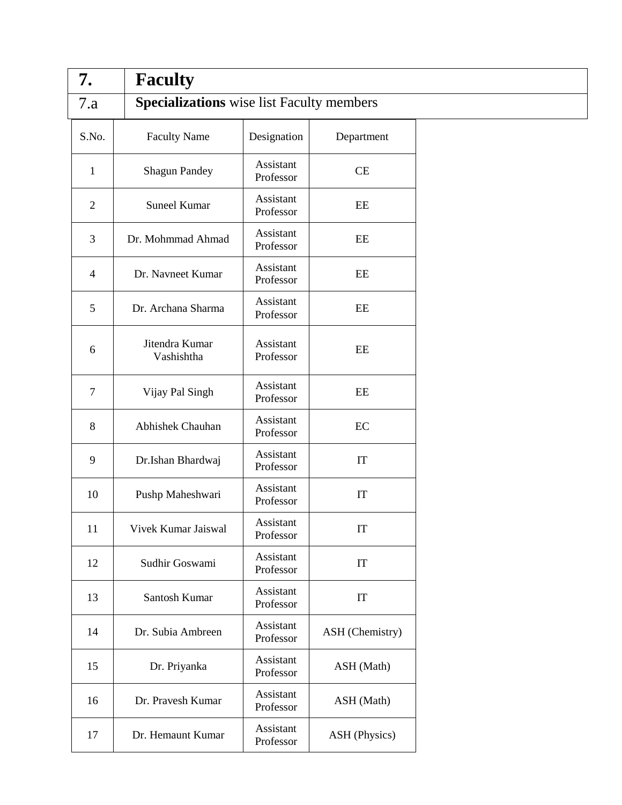| 7.             | <b>Faculty</b>               |                                                  |                 |  |
|----------------|------------------------------|--------------------------------------------------|-----------------|--|
| 7.a            |                              | <b>Specializations</b> wise list Faculty members |                 |  |
| S.No.          | <b>Faculty Name</b>          | Designation                                      | Department      |  |
| $\mathbf{1}$   | <b>Shagun Pandey</b>         | Assistant<br>Professor                           | CE              |  |
| $\overline{2}$ | <b>Suneel Kumar</b>          | Assistant<br>Professor                           | $\rm EE$        |  |
| 3              | Dr. Mohmmad Ahmad            | Assistant<br>Professor                           | EE              |  |
| $\overline{4}$ | Dr. Navneet Kumar            | Assistant<br>Professor                           | $\rm{EE}$       |  |
| 5              | Dr. Archana Sharma           | Assistant<br>Professor                           | EE              |  |
| 6              | Jitendra Kumar<br>Vashishtha | Assistant<br>Professor                           | $\rm{EE}$       |  |
| $\tau$         | Vijay Pal Singh              | Assistant<br>Professor                           | $\rm{EE}$       |  |
| 8              | Abhishek Chauhan             | Assistant<br>Professor                           | $\rm EC$        |  |
| 9              | Dr.Ishan Bhardwaj            | Assistant<br>Professor                           | IT              |  |
| 10             | Pushp Maheshwari             | Assistant<br>Professor                           | IT              |  |
| 11             | Vivek Kumar Jaiswal          | Assistant<br>Professor                           | IT              |  |
| 12             | Sudhir Goswami               | Assistant<br>Professor                           | IT              |  |
| 13             | Santosh Kumar                | Assistant<br>Professor                           | IT              |  |
| 14             | Dr. Subia Ambreen            | Assistant<br>Professor                           | ASH (Chemistry) |  |
| 15             | Dr. Priyanka                 | Assistant<br>Professor                           | ASH (Math)      |  |
| 16             | Dr. Pravesh Kumar            | Assistant<br>Professor                           | ASH (Math)      |  |
| 17             | Dr. Hemaunt Kumar            | Assistant<br>Professor                           | ASH (Physics)   |  |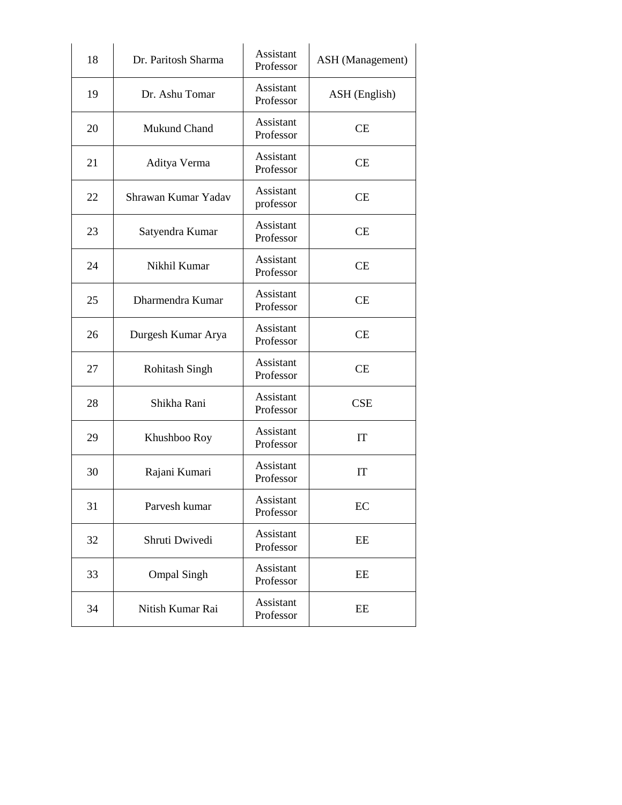| 18 | Dr. Paritosh Sharma   | <b>Assistant</b><br>Professor | <b>ASH</b> (Management) |
|----|-----------------------|-------------------------------|-------------------------|
| 19 | Dr. Ashu Tomar        | Assistant<br>Professor        | ASH (English)           |
| 20 | Mukund Chand          | Assistant<br>Professor        | <b>CE</b>               |
| 21 | Aditya Verma          | Assistant<br>Professor        | CE                      |
| 22 | Shrawan Kumar Yadav   | Assistant<br>professor        | <b>CE</b>               |
| 23 | Satyendra Kumar       | Assistant<br>Professor        | <b>CE</b>               |
| 24 | Nikhil Kumar          | Assistant<br>Professor        | <b>CE</b>               |
| 25 | Dharmendra Kumar      | Assistant<br>Professor        | <b>CE</b>               |
| 26 | Durgesh Kumar Arya    | Assistant<br>Professor        | <b>CE</b>               |
| 27 | <b>Rohitash Singh</b> | Assistant<br>Professor        | CE                      |
| 28 | Shikha Rani           | Assistant<br>Professor        | <b>CSE</b>              |
| 29 | Khushboo Roy          | <b>Assistant</b><br>Professor | IT                      |
| 30 | Rajani Kumari         | Assistant<br>Professor        | IT                      |
| 31 | Parvesh kumar         | Assistant<br>Professor        | EC                      |
| 32 | Shruti Dwivedi        | Assistant<br>Professor        | EE                      |
| 33 | <b>Ompal Singh</b>    | Assistant<br>Professor        | EE                      |
| 34 | Nitish Kumar Rai      | Assistant<br>Professor        | EE                      |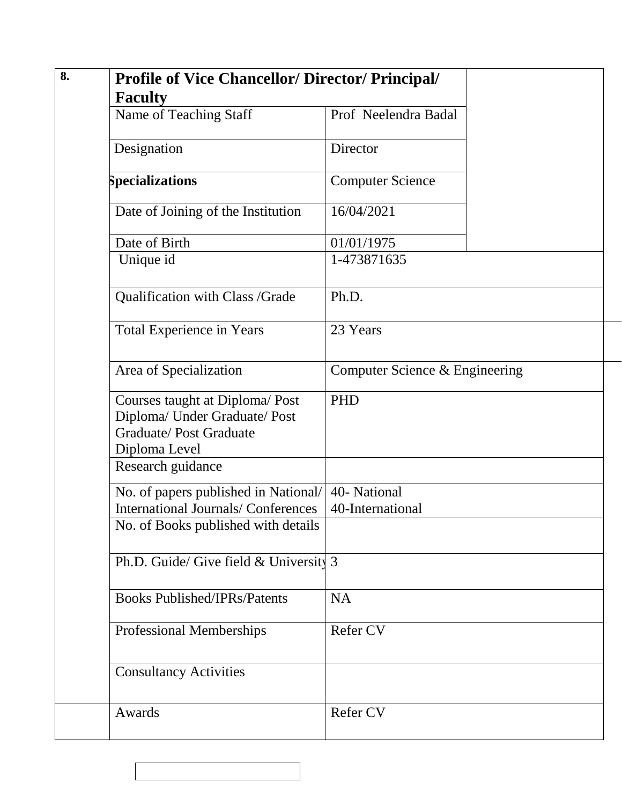| <b>Profile of Vice Chancellor/Director/Principal/</b><br><b>Faculty</b>                                           |                                  |  |
|-------------------------------------------------------------------------------------------------------------------|----------------------------------|--|
| Name of Teaching Staff                                                                                            | Prof Neelendra Badal             |  |
| Designation                                                                                                       | Director                         |  |
| Specializations                                                                                                   | <b>Computer Science</b>          |  |
| Date of Joining of the Institution                                                                                | 16/04/2021                       |  |
| Date of Birth                                                                                                     | 01/01/1975                       |  |
| Unique id                                                                                                         | 1-473871635                      |  |
| Qualification with Class /Grade                                                                                   | Ph.D.                            |  |
| <b>Total Experience in Years</b>                                                                                  | 23 Years                         |  |
| Area of Specialization                                                                                            | Computer Science & Engineering   |  |
| Courses taught at Diploma/Post<br>Diploma/ Under Graduate/ Post<br><b>Graduate/Post Graduate</b><br>Diploma Level | <b>PHD</b>                       |  |
| Research guidance                                                                                                 |                                  |  |
| No. of papers published in National/<br><b>International Journals/Conferences</b>                                 | 40- National<br>40-International |  |
| No. of Books published with details                                                                               |                                  |  |
| Ph.D. Guide/ Give field $&$ University 3                                                                          |                                  |  |
| <b>Books Published/IPRs/Patents</b>                                                                               | <b>NA</b>                        |  |
| <b>Professional Memberships</b>                                                                                   | Refer CV                         |  |
| <b>Consultancy Activities</b>                                                                                     |                                  |  |
|                                                                                                                   | Refer CV                         |  |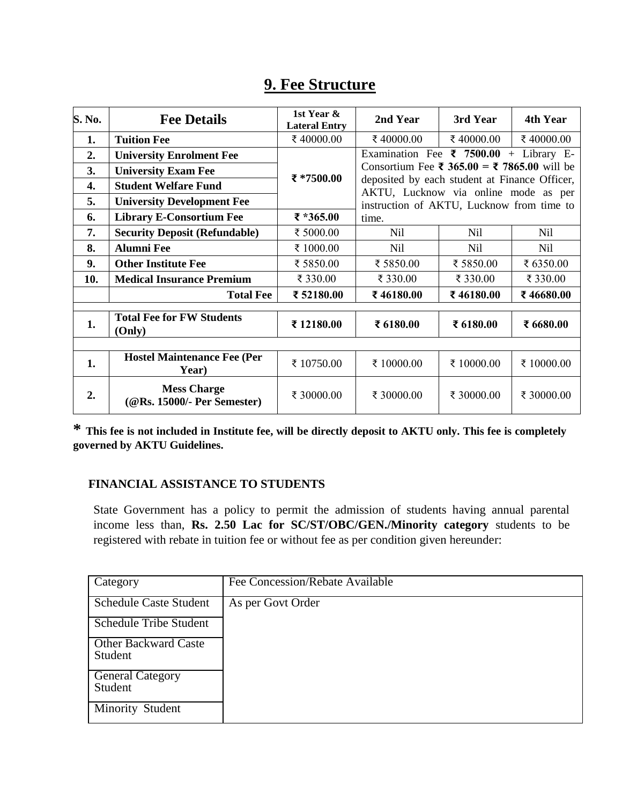|        |                                                   | 1st Year &           |                                                                                                                                                                                   |            |            |  |
|--------|---------------------------------------------------|----------------------|-----------------------------------------------------------------------------------------------------------------------------------------------------------------------------------|------------|------------|--|
| S. No. | <b>Fee Details</b>                                | <b>Lateral Entry</b> | 2nd Year                                                                                                                                                                          | 3rd Year   | 4th Year   |  |
| 1.     | <b>Tuition Fee</b>                                | ₹40000.00            | ₹40000.00                                                                                                                                                                         | ₹ 40000.00 | ₹40000.00  |  |
| 2.     | <b>University Enrolment Fee</b>                   |                      | Examination Fee $\bar{\tau}$ 7500.00 + Library E-                                                                                                                                 |            |            |  |
| 3.     | <b>University Exam Fee</b>                        | ₹ *7500.00           | Consortium Fee ₹ 365.00 = ₹ 7865.00 will be<br>deposited by each student at Finance Officer,<br>AKTU, Lucknow via online mode as per<br>instruction of AKTU, Lucknow from time to |            |            |  |
| 4.     | <b>Student Welfare Fund</b>                       |                      |                                                                                                                                                                                   |            |            |  |
| 5.     | <b>University Development Fee</b>                 |                      |                                                                                                                                                                                   |            |            |  |
| 6.     | <b>Library E-Consortium Fee</b>                   | ₹ *365.00            | time.                                                                                                                                                                             |            |            |  |
| 7.     | <b>Security Deposit (Refundable)</b>              | ₹ 5000.00            | Nil                                                                                                                                                                               | Nil        | Nil        |  |
| 8.     | <b>Alumni Fee</b>                                 | ₹ 1000.00            | Nil                                                                                                                                                                               | <b>Nil</b> | Nil        |  |
| 9.     | <b>Other Institute Fee</b>                        | ₹ 5850.00            | ₹ 5850.00                                                                                                                                                                         | ₹ 5850.00  | ₹ 6350.00  |  |
| 10.    | <b>Medical Insurance Premium</b>                  | ₹ 330.00             | ₹ 330.00                                                                                                                                                                          | ₹ 330.00   | ₹ 330.00   |  |
|        | <b>Total Fee</b>                                  | ₹ 52180.00           | ₹46180.00                                                                                                                                                                         | ₹46180.00  | ₹46680.00  |  |
|        |                                                   |                      |                                                                                                                                                                                   |            |            |  |
| 1.     | <b>Total Fee for FW Students</b><br>(Only)        | ₹12180.00            | ₹ 6180.00                                                                                                                                                                         | ₹ 6180.00  | ₹ 6680.00  |  |
|        |                                                   |                      |                                                                                                                                                                                   |            |            |  |
| 1.     | <b>Hostel Maintenance Fee (Per</b><br>Year)       | ₹10750.00            | ₹ 10000.00                                                                                                                                                                        | ₹ 10000.00 | ₹ 10000.00 |  |
| 2.     | <b>Mess Charge</b><br>(@Rs. 15000/- Per Semester) | ₹ 30000.00           | ₹ 30000.00                                                                                                                                                                        | ₹ 30000.00 | ₹ 30000.00 |  |

### **9. Fee Structure**

**\* This fee is not included in Institute fee, will be directly deposit to AKTU only. This fee is completely governed by AKTU Guidelines.** 

#### **FINANCIAL ASSISTANCE TO STUDENTS**

State Government has a policy to permit the admission of students having annual parental income less than, **Rs. 2.50 Lac for SC/ST/OBC/GEN./Minority category** students to be registered with rebate in tuition fee or without fee as per condition given hereunder:

| Category                               | Fee Concession/Rebate Available |
|----------------------------------------|---------------------------------|
| <b>Schedule Caste Student</b>          | As per Govt Order               |
| <b>Schedule Tribe Student</b>          |                                 |
| <b>Other Backward Caste</b><br>Student |                                 |
| <b>General Category</b><br>Student     |                                 |
| Minority Student                       |                                 |